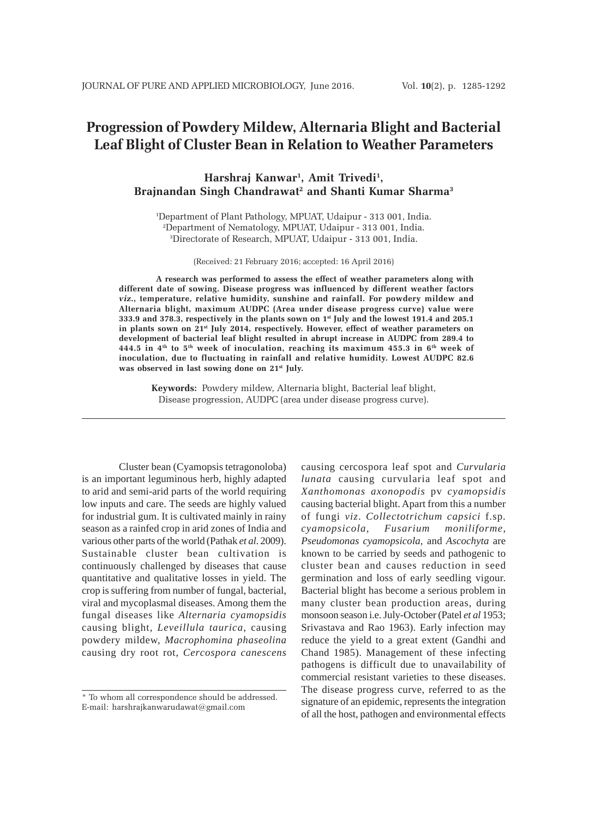# **Progression of Powdery Mildew, Alternaria Blight and Bacterial Leaf Blight of Cluster Bean in Relation to Weather Parameters**

## **Harshraj Kanwar1 , Amit Trivedi1 , Brajnandan Singh Chandrawat2 and Shanti Kumar Sharma3**

1 Department of Plant Pathology, MPUAT, Udaipur - 313 001, India. 2 Department of Nematology, MPUAT, Udaipur - 313 001, India. 3 Directorate of Research, MPUAT, Udaipur - 313 001, India.

(Received: 21 February 2016; accepted: 16 April 2016)

**A research was performed to assess the effect of weather parameters along with different date of sowing. Disease progress was influenced by different weather factors** *viz***., temperature, relative humidity, sunshine and rainfall. For powdery mildew and Alternaria blight, maximum AUDPC (Area under disease progress curve) value were 333.9 and 378.3, respectively in the plants sown on 1st July and the lowest 191.4 and 205.1 in plants sown on 21st July 2014, respectively. However, effect of weather parameters on development of bacterial leaf blight resulted in abrupt increase in AUDPC from 289.4 to 444.5 in 4th to 5th week of inoculation, reaching its maximum 455.3 in 6th week of inoculation, due to fluctuating in rainfall and relative humidity. Lowest AUDPC 82.6 was observed in last sowing done on 21st July.**

**Keywords:** Powdery mildew, Alternaria blight, Bacterial leaf blight, Disease progression, AUDPC (area under disease progress curve).

Cluster bean (Cyamopsis tetragonoloba) is an important leguminous herb, highly adapted to arid and semi-arid parts of the world requiring low inputs and care. The seeds are highly valued for industrial gum. It is cultivated mainly in rainy season as a rainfed crop in arid zones of India and various other parts of the world (Pathak *et al*. 2009). Sustainable cluster bean cultivation is continuously challenged by diseases that cause quantitative and qualitative losses in yield. The crop is suffering from number of fungal, bacterial, viral and mycoplasmal diseases. Among them the fungal diseases like *Alternaria cyamopsidis* causing blight, *Leveillula taurica*, causing powdery mildew, *Macrophomina phaseolina* causing dry root rot, *Cercospora canescens*

causing cercospora leaf spot and *Curvularia lunata* causing curvularia leaf spot and *Xanthomonas axonopodis* pv *cyamopsidis* causing bacterial blight. Apart from this a number of fungi *viz*. *Collectotrichum capsici* f.sp*. cyamopsicola, Fusarium moniliforme, Pseudomonas cyamopsicola,* and *Ascochyta* are known to be carried by seeds and pathogenic to cluster bean and causes reduction in seed germination and loss of early seedling vigour. Bacterial blight has become a serious problem in many cluster bean production areas, during monsoon season i.e. July-October (Patel *et al* 1953; Srivastava and Rao 1963). Early infection may reduce the yield to a great extent (Gandhi and Chand 1985). Management of these infecting pathogens is difficult due to unavailability of commercial resistant varieties to these diseases. The disease progress curve, referred to as the signature of an epidemic, represents the integration of all the host, pathogen and environmental effects

<sup>\*</sup> To whom all correspondence should be addressed. E-mail: harshrajkanwarudawat@gmail.com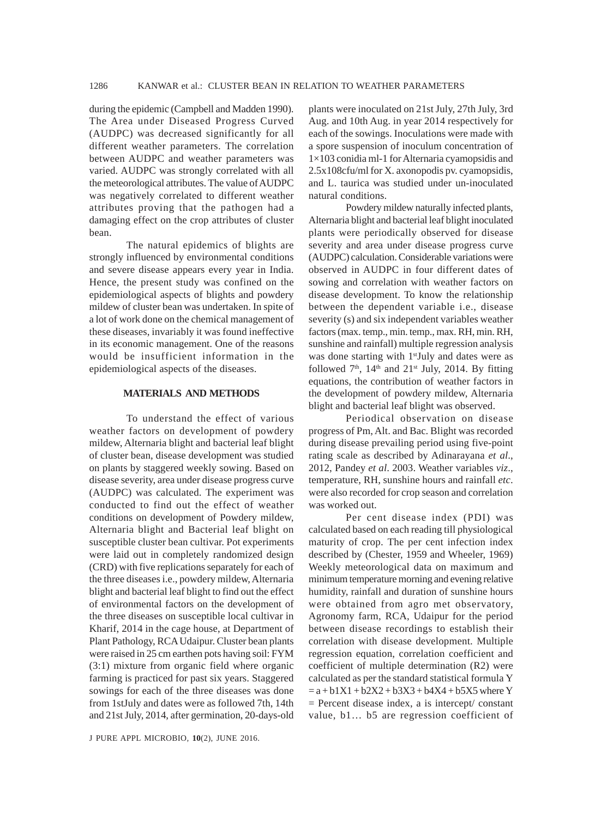during the epidemic (Campbell and Madden 1990). The Area under Diseased Progress Curved (AUDPC) was decreased significantly for all different weather parameters. The correlation between AUDPC and weather parameters was varied. AUDPC was strongly correlated with all the meteorological attributes. The value of AUDPC was negatively correlated to different weather attributes proving that the pathogen had a damaging effect on the crop attributes of cluster bean.

The natural epidemics of blights are strongly influenced by environmental conditions and severe disease appears every year in India. Hence, the present study was confined on the epidemiological aspects of blights and powdery mildew of cluster bean was undertaken. In spite of a lot of work done on the chemical management of these diseases, invariably it was found ineffective in its economic management. One of the reasons would be insufficient information in the epidemiological aspects of the diseases.

## **MATERIALS AND METHODS**

To understand the effect of various weather factors on development of powdery mildew, Alternaria blight and bacterial leaf blight of cluster bean, disease development was studied on plants by staggered weekly sowing. Based on disease severity, area under disease progress curve (AUDPC) was calculated. The experiment was conducted to find out the effect of weather conditions on development of Powdery mildew, Alternaria blight and Bacterial leaf blight on susceptible cluster bean cultivar. Pot experiments were laid out in completely randomized design (CRD) with five replications separately for each of the three diseases i.e., powdery mildew, Alternaria blight and bacterial leaf blight to find out the effect of environmental factors on the development of the three diseases on susceptible local cultivar in Kharif, 2014 in the cage house, at Department of Plant Pathology, RCA Udaipur. Cluster bean plants were raised in 25 cm earthen pots having soil: FYM (3:1) mixture from organic field where organic farming is practiced for past six years. Staggered sowings for each of the three diseases was done from 1stJuly and dates were as followed 7th, 14th and 21st July, 2014, after germination, 20-days-old

J PURE APPL MICROBIO*,* **10**(2), JUNE 2016.

plants were inoculated on 21st July, 27th July, 3rd Aug. and 10th Aug. in year 2014 respectively for each of the sowings. Inoculations were made with a spore suspension of inoculum concentration of 1×103 conidia ml-1 for Alternaria cyamopsidis and 2.5x108cfu/ml for X. axonopodis pv. cyamopsidis, and L. taurica was studied under un-inoculated natural conditions.

Powdery mildew naturally infected plants, Alternaria blight and bacterial leaf blight inoculated plants were periodically observed for disease severity and area under disease progress curve (AUDPC) calculation. Considerable variations were observed in AUDPC in four different dates of sowing and correlation with weather factors on disease development. To know the relationship between the dependent variable i.e., disease severity (s) and six independent variables weather factors (max. temp., min. temp., max. RH, min. RH, sunshine and rainfall) multiple regression analysis was done starting with 1<sup>st</sup>July and dates were as followed  $7<sup>th</sup>$ ,  $14<sup>th</sup>$  and  $21<sup>st</sup>$  July,  $2014$ . By fitting equations, the contribution of weather factors in the development of powdery mildew, Alternaria blight and bacterial leaf blight was observed.

Periodical observation on disease progress of Pm, Alt. and Bac. Blight was recorded during disease prevailing period using five-point rating scale as described by Adinarayana *et al*., 2012, Pandey *et al*. 2003. Weather variables *viz*., temperature, RH, sunshine hours and rainfall *etc*. were also recorded for crop season and correlation was worked out.

Per cent disease index (PDI) was calculated based on each reading till physiological maturity of crop. The per cent infection index described by (Chester, 1959 and Wheeler, 1969) Weekly meteorological data on maximum and minimum temperature morning and evening relative humidity, rainfall and duration of sunshine hours were obtained from agro met observatory, Agronomy farm, RCA, Udaipur for the period between disease recordings to establish their correlation with disease development. Multiple regression equation, correlation coefficient and coefficient of multiple determination (R2) were calculated as per the standard statistical formula Y  $= a + b1X1 + b2X2 + b3X3 + b4X4 + b5X5$  where Y  $=$  Percent disease index, a is intercept/ constant value, b1... b5 are regression coefficient of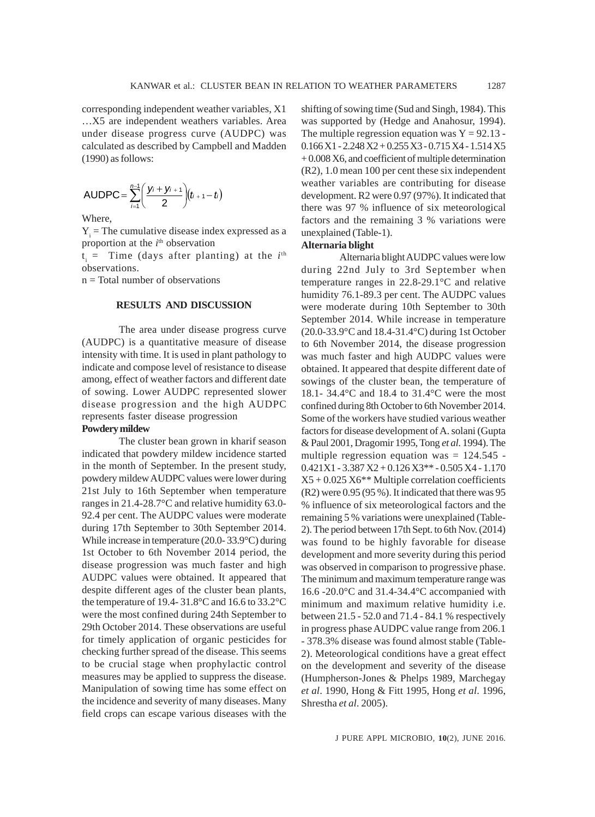corresponding independent weather variables, X1 …X5 are independent weathers variables. Area under disease progress curve (AUDPC) was calculated as described by Campbell and Madden (1990) as follows:

AUDPC = 
$$
\sum_{i=1}^{n-1} \left( \frac{y_i + y_{i+1}}{2} \right) (t_{i+1} - t)
$$

Where,

 $Y_i$  = The cumulative disease index expressed as a proportion at the *i*<sup>th</sup> observation

 $t_i$  = Time (days after planting) at the  $i<sup>th</sup>$ observations.

n = Total number of observations

## **RESULTS AND DISCUSSION**

The area under disease progress curve (AUDPC) is a quantitative measure of disease intensity with time. It is used in plant pathology to indicate and compose level of resistance to disease among, effect of weather factors and different date of sowing. Lower AUDPC represented slower disease progression and the high AUDPC represents faster disease progression

## **Powdery mildew**

The cluster bean grown in kharif season indicated that powdery mildew incidence started in the month of September. In the present study, powdery mildew AUDPC values were lower during 21st July to 16th September when temperature ranges in 21.4-28.7°C and relative humidity 63.0- 92.4 per cent. The AUDPC values were moderate during 17th September to 30th September 2014. While increase in temperature (20.0- 33.9°C) during 1st October to 6th November 2014 period, the disease progression was much faster and high AUDPC values were obtained. It appeared that despite different ages of the cluster bean plants, the temperature of 19.4- 31.8°C and 16.6 to 33.2°C were the most confined during 24th September to 29th October 2014. These observations are useful for timely application of organic pesticides for checking further spread of the disease. This seems to be crucial stage when prophylactic control measures may be applied to suppress the disease. Manipulation of sowing time has some effect on the incidence and severity of many diseases. Many field crops can escape various diseases with the shifting of sowing time (Sud and Singh, 1984). This was supported by (Hedge and Anahosur, 1994). The multiple regression equation was  $Y = 92.13$ .  $0.166 X1 - 2.248 X2 + 0.255 X3 - 0.715 X4 - 1.514 X5$ + 0.008 X6, and coefficient of multiple determination (R2), 1.0 mean 100 per cent these six independent weather variables are contributing for disease development. R2 were 0.97 (97%). It indicated that there was 97 % influence of six meteorological factors and the remaining 3 % variations were unexplained (Table-1).

#### **Alternaria blight**

 Alternaria blight AUDPC values were low during 22nd July to 3rd September when temperature ranges in 22.8-29.1°C and relative humidity 76.1-89.3 per cent. The AUDPC values were moderate during 10th September to 30th September 2014. While increase in temperature (20.0-33.9°C and 18.4-31.4°C) during 1st October to 6th November 2014, the disease progression was much faster and high AUDPC values were obtained. It appeared that despite different date of sowings of the cluster bean, the temperature of 18.1- 34.4°C and 18.4 to 31.4°C were the most confined during 8th October to 6th November 2014. Some of the workers have studied various weather factors for disease development of A. solani (Gupta & Paul 2001, Dragomir 1995, Tong *et al*. 1994). The multiple regression equation was  $= 124.545$ .  $0.421X1 - 3.387X2 + 0.126X3** - 0.505X4 - 1.170$  $X5 + 0.025 X6**$  Multiple correlation coefficients (R2) were 0.95 (95 %). It indicated that there was 95 % influence of six meteorological factors and the remaining 5 % variations were unexplained (Table-2). The period between 17th Sept. to 6th Nov. (2014) was found to be highly favorable for disease development and more severity during this period was observed in comparison to progressive phase. The minimum and maximum temperature range was 16.6 -20.0°C and 31.4-34.4°C accompanied with minimum and maximum relative humidity i.e. between 21.5 - 52.0 and 71.4 - 84.1 % respectively in progress phase AUDPC value range from 206.1 - 378.3% disease was found almost stable (Table-2). Meteorological conditions have a great effect on the development and severity of the disease (Humpherson-Jones & Phelps 1989, Marchegay *et al*. 1990, Hong & Fitt 1995, Hong *et al*. 1996, Shrestha *et al*. 2005).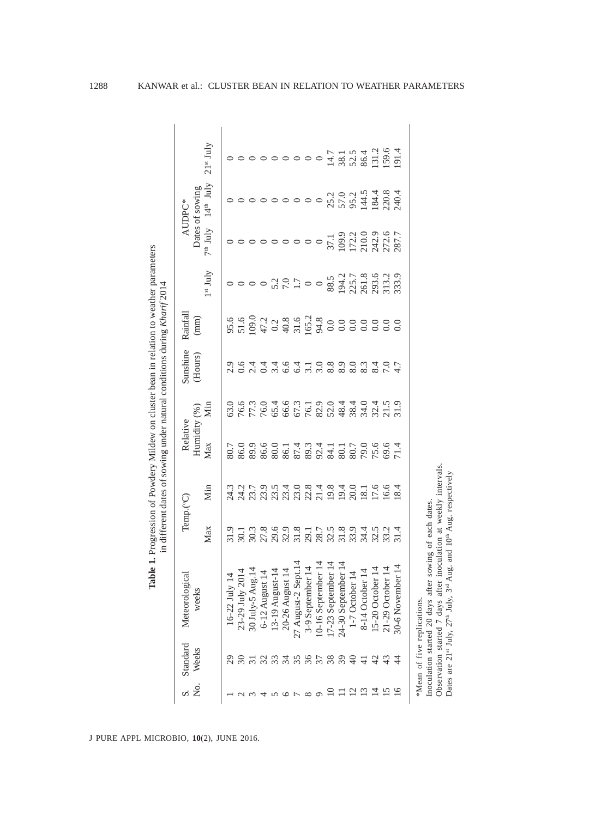| $21$ <sup>st</sup> July<br>$7th$ July $14th$ July<br>$1^{\rm st}$ July<br>$5.5$<br>$5.5$<br>$3.7$<br>$6.9$<br>$7.8$<br>$8.7$<br>$8.9$<br>$8.2$<br>$8.9$<br>$8.2$<br>$8.9$<br>$8.2$<br>$8.9$<br>$8.3$<br>$8.9$<br>$8.0$<br>$8.0$<br>$8.0$<br>$8.0$<br>$8.0$<br>$8.0$<br>$8.0$<br>$8.0$<br>$8.0$<br>$8.0$<br>$8.0$<br>$8.0$<br>$8.0$<br>$8.0$<br>$8.0$<br>$8.0$<br>$8.0$<br>つ G 4 4 4 6 4 1 0 8 9 0 9 0 4 0<br>C 6 4 4 4 6 4 1 6 8 9 9 9 9 9 7<br>$777686678884884877778$<br>Min<br>63.0<br>Max<br>8<br>8 8 8 8 8 8 8 9 8 9 8 9 8 7 8 7<br>80.7<br>Min<br>21 5 9 10 11 9 10 11 12 13 16 16 17 18 18 19 19 10 11 12 13 14 15 16 16 17 18 18<br>24.3<br>Max<br>1 3 3 9 9 9 3 1 5 5 9 8 9 1 8 9 1 8<br>6 6 6 7 8 9 5 7 8 9 8 9 7 8 9 7 8 9 7<br>31.9<br>16-22 July 14<br>23-29 July-5 Aug.14<br>30 July-5 Aug.14<br>6-12 August 14<br>6-12 August 14<br>20-26 August-2 Sept.14<br>27 August-2 Sept.14<br>10-16 September 14<br>10-16 September 14<br>17-23 September 14<br>1-7 October 14<br>8-14 October 1<br>380008<br>34<br>39<br>¥<br>30<br>$\frac{1}{4}$<br>$\frac{1}{4}$<br>र्च<br>$\frac{1}{4}$ | Dates of sowing<br>AUDPC* |  | Rainfall<br>$(\text{mm})$ | Sunshine<br>(Hours) | Humidity (%)<br>Relative | Temp.(°C) | Meteorological<br>weeks | Standard<br>Weeks |  |
|---------------------------------------------------------------------------------------------------------------------------------------------------------------------------------------------------------------------------------------------------------------------------------------------------------------------------------------------------------------------------------------------------------------------------------------------------------------------------------------------------------------------------------------------------------------------------------------------------------------------------------------------------------------------------------------------------------------------------------------------------------------------------------------------------------------------------------------------------------------------------------------------------------------------------------------------------------------------------------------------------------------------------------------------------------------------------------------------------|---------------------------|--|---------------------------|---------------------|--------------------------|-----------|-------------------------|-------------------|--|
|                                                                                                                                                                                                                                                                                                                                                                                                                                                                                                                                                                                                                                                                                                                                                                                                                                                                                                                                                                                                                                                                                                   |                           |  |                           |                     |                          |           |                         |                   |  |
|                                                                                                                                                                                                                                                                                                                                                                                                                                                                                                                                                                                                                                                                                                                                                                                                                                                                                                                                                                                                                                                                                                   |                           |  |                           |                     |                          |           |                         |                   |  |
|                                                                                                                                                                                                                                                                                                                                                                                                                                                                                                                                                                                                                                                                                                                                                                                                                                                                                                                                                                                                                                                                                                   |                           |  |                           |                     |                          |           |                         |                   |  |
|                                                                                                                                                                                                                                                                                                                                                                                                                                                                                                                                                                                                                                                                                                                                                                                                                                                                                                                                                                                                                                                                                                   |                           |  |                           |                     |                          |           |                         |                   |  |
|                                                                                                                                                                                                                                                                                                                                                                                                                                                                                                                                                                                                                                                                                                                                                                                                                                                                                                                                                                                                                                                                                                   |                           |  |                           |                     |                          |           |                         |                   |  |
|                                                                                                                                                                                                                                                                                                                                                                                                                                                                                                                                                                                                                                                                                                                                                                                                                                                                                                                                                                                                                                                                                                   |                           |  |                           |                     |                          |           |                         |                   |  |
|                                                                                                                                                                                                                                                                                                                                                                                                                                                                                                                                                                                                                                                                                                                                                                                                                                                                                                                                                                                                                                                                                                   |                           |  |                           |                     |                          |           |                         |                   |  |
|                                                                                                                                                                                                                                                                                                                                                                                                                                                                                                                                                                                                                                                                                                                                                                                                                                                                                                                                                                                                                                                                                                   |                           |  |                           |                     |                          |           |                         |                   |  |
|                                                                                                                                                                                                                                                                                                                                                                                                                                                                                                                                                                                                                                                                                                                                                                                                                                                                                                                                                                                                                                                                                                   |                           |  |                           |                     |                          |           |                         |                   |  |
|                                                                                                                                                                                                                                                                                                                                                                                                                                                                                                                                                                                                                                                                                                                                                                                                                                                                                                                                                                                                                                                                                                   |                           |  |                           |                     |                          |           |                         |                   |  |
|                                                                                                                                                                                                                                                                                                                                                                                                                                                                                                                                                                                                                                                                                                                                                                                                                                                                                                                                                                                                                                                                                                   |                           |  |                           |                     |                          |           |                         |                   |  |
|                                                                                                                                                                                                                                                                                                                                                                                                                                                                                                                                                                                                                                                                                                                                                                                                                                                                                                                                                                                                                                                                                                   |                           |  |                           |                     |                          |           |                         |                   |  |
|                                                                                                                                                                                                                                                                                                                                                                                                                                                                                                                                                                                                                                                                                                                                                                                                                                                                                                                                                                                                                                                                                                   |                           |  |                           |                     |                          |           |                         |                   |  |
|                                                                                                                                                                                                                                                                                                                                                                                                                                                                                                                                                                                                                                                                                                                                                                                                                                                                                                                                                                                                                                                                                                   |                           |  |                           |                     |                          |           |                         |                   |  |
|                                                                                                                                                                                                                                                                                                                                                                                                                                                                                                                                                                                                                                                                                                                                                                                                                                                                                                                                                                                                                                                                                                   |                           |  |                           |                     |                          |           |                         |                   |  |
|                                                                                                                                                                                                                                                                                                                                                                                                                                                                                                                                                                                                                                                                                                                                                                                                                                                                                                                                                                                                                                                                                                   |                           |  |                           |                     |                          |           |                         |                   |  |
|                                                                                                                                                                                                                                                                                                                                                                                                                                                                                                                                                                                                                                                                                                                                                                                                                                                                                                                                                                                                                                                                                                   |                           |  |                           |                     |                          |           |                         |                   |  |

**Table 1.** Progression of Powdery Mildew on cluster bean in relation to weather parameters in different data of equivalent parameters

J PURE APPL MICROBIO*,* **10**(2), JUNE 2016.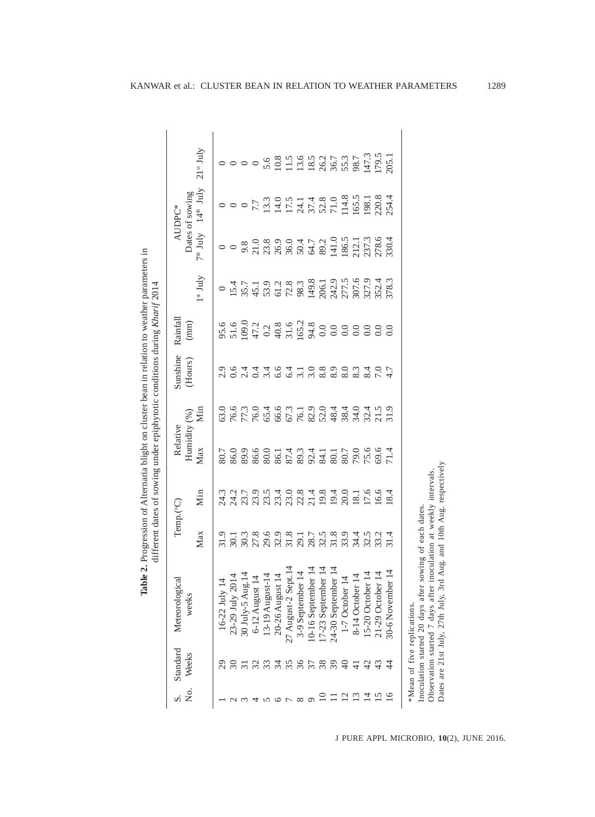| Weeks                       | Meteorological                                                                                               | Temp.(°C)                                                                                                                                                                                                                                                                           |                     | Relative            |                                                                   | Sunshine               | Rainfall                                                                                                                                                                                                                                                                   |                   |            | AUDPC*                                                                                                                                                                                                                                                                                                                                            |                                                     |
|-----------------------------|--------------------------------------------------------------------------------------------------------------|-------------------------------------------------------------------------------------------------------------------------------------------------------------------------------------------------------------------------------------------------------------------------------------|---------------------|---------------------|-------------------------------------------------------------------|------------------------|----------------------------------------------------------------------------------------------------------------------------------------------------------------------------------------------------------------------------------------------------------------------------|-------------------|------------|---------------------------------------------------------------------------------------------------------------------------------------------------------------------------------------------------------------------------------------------------------------------------------------------------------------------------------------------------|-----------------------------------------------------|
|                             | weeks                                                                                                        |                                                                                                                                                                                                                                                                                     |                     | Humidity (%)        |                                                                   | (Hours)                | (mm)                                                                                                                                                                                                                                                                       |                   |            | Dates of sowing                                                                                                                                                                                                                                                                                                                                   |                                                     |
|                             |                                                                                                              | Max                                                                                                                                                                                                                                                                                 | Min                 | Max                 | Min                                                               |                        |                                                                                                                                                                                                                                                                            | $1^{\rm st}$ July | $7th$ July | $14^{\text{th}}$ July                                                                                                                                                                                                                                                                                                                             | $21st$ July                                         |
|                             |                                                                                                              | 31.9                                                                                                                                                                                                                                                                                |                     | 80.7                | 53.0                                                              |                        |                                                                                                                                                                                                                                                                            |                   |            |                                                                                                                                                                                                                                                                                                                                                   |                                                     |
|                             | 16-22 July 14<br>23-29 July 2014<br>30 July-5 Aug.14<br>6-12 August 14<br>13-19 August-14<br>13-19 August-14 | 30.1                                                                                                                                                                                                                                                                                |                     | 86.0                |                                                                   | 0.9444                 | $5.5$<br>$5.5$<br>$5.6$<br>$5.7$<br>$5.7$<br>$5.7$<br>$5.7$<br>$5.7$<br>$5.7$<br>$5.7$<br>$5.7$<br>$5.7$<br>$5.7$<br>$5.7$<br>$5.7$<br>$5.7$<br>$5.7$<br>$5.7$<br>$5.7$<br>$5.7$<br>$5.7$<br>$5.7$<br>$5.7$<br>$5.7$<br>$5.7$<br>$5.7$<br>$5.7$<br>$5.7$<br>$5.7$<br>$5.7$ | 15.4              | $\circ$    | $\circ$ $\circ$ $\circ$                                                                                                                                                                                                                                                                                                                           | $\circ$ $\circ$                                     |
|                             |                                                                                                              |                                                                                                                                                                                                                                                                                     |                     | 89.9                |                                                                   |                        |                                                                                                                                                                                                                                                                            |                   |            |                                                                                                                                                                                                                                                                                                                                                   |                                                     |
|                             |                                                                                                              |                                                                                                                                                                                                                                                                                     |                     | 86.6                |                                                                   |                        |                                                                                                                                                                                                                                                                            |                   |            |                                                                                                                                                                                                                                                                                                                                                   |                                                     |
|                             |                                                                                                              |                                                                                                                                                                                                                                                                                     |                     | $80.0\,$            |                                                                   |                        |                                                                                                                                                                                                                                                                            |                   |            |                                                                                                                                                                                                                                                                                                                                                   |                                                     |
|                             |                                                                                                              |                                                                                                                                                                                                                                                                                     |                     | 86.1<br>87.4        |                                                                   |                        |                                                                                                                                                                                                                                                                            |                   |            |                                                                                                                                                                                                                                                                                                                                                   |                                                     |
| 35                          | 27 August-2 Sept.14                                                                                          |                                                                                                                                                                                                                                                                                     |                     |                     |                                                                   | $647.080$<br>$647.080$ |                                                                                                                                                                                                                                                                            |                   |            |                                                                                                                                                                                                                                                                                                                                                   |                                                     |
| 36                          | 3-9 September 14                                                                                             |                                                                                                                                                                                                                                                                                     |                     |                     |                                                                   |                        |                                                                                                                                                                                                                                                                            |                   |            |                                                                                                                                                                                                                                                                                                                                                   |                                                     |
| 37                          | 10-16 September 14                                                                                           |                                                                                                                                                                                                                                                                                     |                     |                     |                                                                   |                        |                                                                                                                                                                                                                                                                            |                   |            |                                                                                                                                                                                                                                                                                                                                                   |                                                     |
|                             | 17-23 September 14                                                                                           |                                                                                                                                                                                                                                                                                     |                     |                     |                                                                   |                        |                                                                                                                                                                                                                                                                            |                   |            |                                                                                                                                                                                                                                                                                                                                                   |                                                     |
| $\overline{39}$             | 24-30 September 14                                                                                           | $\begin{array}{c} 3.886871778 \\ 3.08787178 \\ 3.087978 \\ 3.08798 \\ 3.08797 \\ 3.08794 \\ 3.08794 \\ 3.08794 \\ 3.08794 \\ 3.08794 \\ 3.08794 \\ 3.08794 \\ 3.08794 \\ 3.08794 \\ 3.08794 \\ 3.08794 \\ 3.08794 \\ 3.08794 \\ 3.08794 \\ 3.08794 \\ 3.08794 \\ 3.08794 \\ 3.0879$ |                     | 8974<br>824<br>80.1 |                                                                   |                        |                                                                                                                                                                                                                                                                            |                   |            |                                                                                                                                                                                                                                                                                                                                                   |                                                     |
|                             | 1-7 October 14                                                                                               |                                                                                                                                                                                                                                                                                     |                     | 80.7                |                                                                   | 8.0                    |                                                                                                                                                                                                                                                                            |                   |            |                                                                                                                                                                                                                                                                                                                                                   |                                                     |
| $\exists$                   | 8-14 October 14                                                                                              |                                                                                                                                                                                                                                                                                     |                     |                     |                                                                   | 8.3                    |                                                                                                                                                                                                                                                                            |                   |            |                                                                                                                                                                                                                                                                                                                                                   | $0.68877777777777777778877777777777788877738874773$ |
|                             | 15-20 October 14                                                                                             |                                                                                                                                                                                                                                                                                     | $\frac{18.1}{17.6}$ | 79.0                |                                                                   | 8.4                    |                                                                                                                                                                                                                                                                            |                   |            |                                                                                                                                                                                                                                                                                                                                                   |                                                     |
|                             | 21-29 October 14                                                                                             | 33452<br>34532                                                                                                                                                                                                                                                                      | 6.6                 | 69.6                | es code com do o da do da no<br>A F F G G G F G G A G A R A A A A | $\overline{7.0}$       |                                                                                                                                                                                                                                                                            | 352.4             |            | $\begin{array}{l} \n7.7 \\ 1.3.0 \\ 1.4.0 \\ 1.4.8 \\ 1.4.8 \\ 1.4.8 \\ 1.4.8 \\ 1.4.8 \\ 1.4.8 \\ 1.4.8 \\ 1.4.8 \\ 1.4.8 \\ 1.4.8 \\ 1.4.8 \\ 1.4.8 \\ 1.4.8 \\ 1.4.8 \\ 1.4.8 \\ 1.4.8 \\ 1.4.8 \\ 1.4.8 \\ 1.4.8 \\ 1.4.8 \\ 1.4.8 \\ 1.4.8 \\ 1.4.8 \\ 1.4.8 \\ 1.4.8 \\ 1.4.8 \\ 1.4.8 \\ 1.4.8 \\ 1.4.8 \\ 1.4.8 \\ 1.4.8 \\ 1.4.8 \\ 1.4$ | 179.5                                               |
|                             | 30-6 November 14                                                                                             | 31.4                                                                                                                                                                                                                                                                                | 18.4                | 71.4                |                                                                   |                        | 0.0                                                                                                                                                                                                                                                                        | 378.3             |            | 254.4                                                                                                                                                                                                                                                                                                                                             |                                                     |
| *Mean of five replications. |                                                                                                              |                                                                                                                                                                                                                                                                                     |                     |                     |                                                                   |                        |                                                                                                                                                                                                                                                                            |                   |            |                                                                                                                                                                                                                                                                                                                                                   |                                                     |
|                             | Inoculation started 20 days after sowing of each dates                                                       |                                                                                                                                                                                                                                                                                     |                     |                     |                                                                   |                        |                                                                                                                                                                                                                                                                            |                   |            |                                                                                                                                                                                                                                                                                                                                                   |                                                     |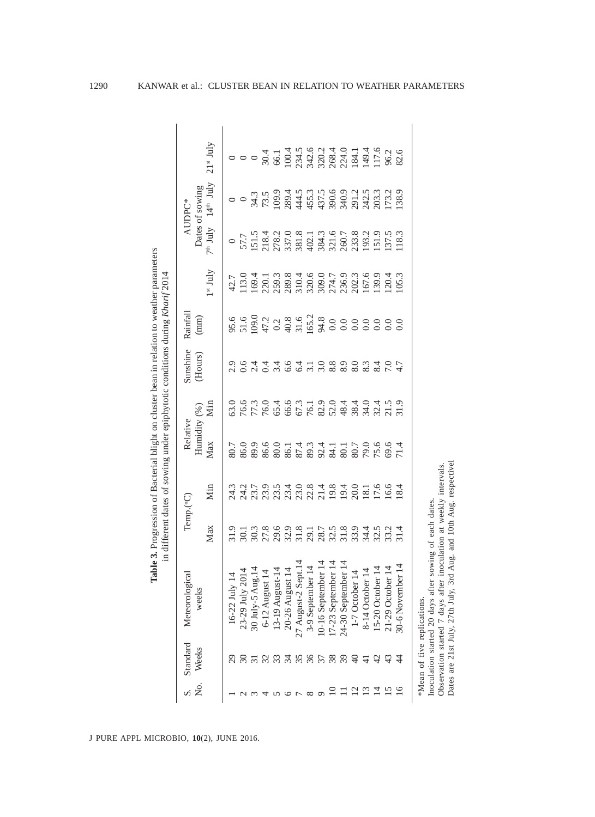|                | Standard      | Meteorological                                                                                               |                            | Temp.(°C)           | Relative             |      | Sunshine                | Rainfall      |                                                                                                                                                                                                                                                                                                             |                                                                                                                                                                                                                                                                        | AUDPC*                |             |
|----------------|---------------|--------------------------------------------------------------------------------------------------------------|----------------------------|---------------------|----------------------|------|-------------------------|---------------|-------------------------------------------------------------------------------------------------------------------------------------------------------------------------------------------------------------------------------------------------------------------------------------------------------------|------------------------------------------------------------------------------------------------------------------------------------------------------------------------------------------------------------------------------------------------------------------------|-----------------------|-------------|
|                | Weeks         | weeks                                                                                                        |                            |                     | Humidity $(\%$       |      | (Hours)                 | $(\text{mm})$ |                                                                                                                                                                                                                                                                                                             |                                                                                                                                                                                                                                                                        | Dates of sowing       |             |
|                |               |                                                                                                              | Max                        | Min                 | Max                  | Min  |                         |               | $1st$ July                                                                                                                                                                                                                                                                                                  | $7th$ July                                                                                                                                                                                                                                                             | $14^{\text{th}}$ July | $21st$ July |
|                |               |                                                                                                              |                            | 24.3                | 80.7                 | 63.0 |                         |               |                                                                                                                                                                                                                                                                                                             |                                                                                                                                                                                                                                                                        |                       |             |
|                | $\frac{1}{2}$ | 16-22 July 14<br>23-29 July 2014<br>30 July-5 Aug.14<br>6-12 August 14<br>13-19 August-14<br>13-19 August-14 | $\overline{30.1}$          | 24.2                | 86.0                 |      | 0. 16<br>2. 16<br>2. 17 | 95.6<br>51.6  | 42.7<br>113.0                                                                                                                                                                                                                                                                                               | $\begin{array}{c} 0\\ 57.7\\ 51.5\\ 218.4\\ 228.7\\ 238.7\\ 248.7\\ 258.7\\ 268.4\\ 278.7\\ 288.7\\ 298.7\\ 208.7\\ 208.7\\ 208.7\\ 208.7\\ 208.7\\ 208.2\\ 208.2\\ 209.2\\ 211.5\\ 228.2\\ 209.2\\ 211.5\\ 228.2\\ 239.2\\ 248.2\\ 258.2\\ 268.2\\ 278.2\\ 288.2\\ 2$ |                       |             |
|                |               |                                                                                                              |                            | 23.7                | 89.9                 | 76.6 |                         | 109.0         | 169.4                                                                                                                                                                                                                                                                                                       |                                                                                                                                                                                                                                                                        |                       |             |
|                | 32            |                                                                                                              | 30.3<br>27.8               |                     |                      | 76.0 |                         |               |                                                                                                                                                                                                                                                                                                             |                                                                                                                                                                                                                                                                        | 34.3<br>73.5          |             |
|                |               |                                                                                                              | 29.6<br>32.9<br>31.8       |                     | 86.6<br>80.0         |      | 0.4                     |               |                                                                                                                                                                                                                                                                                                             |                                                                                                                                                                                                                                                                        |                       |             |
|                |               |                                                                                                              |                            |                     |                      |      | 6.6                     |               |                                                                                                                                                                                                                                                                                                             |                                                                                                                                                                                                                                                                        |                       |             |
|                | 55589         | 27 August-2 Sept.14                                                                                          |                            |                     |                      |      | 6.4                     |               |                                                                                                                                                                                                                                                                                                             |                                                                                                                                                                                                                                                                        |                       |             |
|                |               | 3-9 September 14                                                                                             |                            |                     |                      |      |                         |               |                                                                                                                                                                                                                                                                                                             |                                                                                                                                                                                                                                                                        |                       |             |
|                |               | 10-16 September 14<br>17-23 September 14                                                                     |                            |                     |                      |      |                         |               |                                                                                                                                                                                                                                                                                                             |                                                                                                                                                                                                                                                                        |                       |             |
|                |               |                                                                                                              |                            |                     |                      |      |                         |               |                                                                                                                                                                                                                                                                                                             |                                                                                                                                                                                                                                                                        |                       |             |
|                |               | 24-30 September 14                                                                                           | 29.75<br>29.75.89.75.75.75 |                     |                      |      | $7.089$<br>$0.89$       |               | $\begin{array}{l} 220.1 \\ 239.3 \\ 239.3 \\ 230.4 \\ 230.0 \\ 370.0 \\ 50.0 \\ 50.0 \\ 70.0 \\ 70.0 \\ 70.0 \\ 70.0 \\ 70.0 \\ 70.0 \\ 70.0 \\ 70.0 \\ 70.0 \\ 70.0 \\ 70.0 \\ 70.0 \\ 70.0 \\ 70.0 \\ 70.0 \\ 70.0 \\ 70.0 \\ 70.0 \\ 70.0 \\ 70.0 \\ 70.0 \\ 70.0 \\ 70.0 \\ 70.0 \\ 70.0 \\ 70.0 \\ 70$ |                                                                                                                                                                                                                                                                        |                       |             |
| $\overline{c}$ | $\theta$      |                                                                                                              |                            | 20.0                |                      |      | 8.0                     |               |                                                                                                                                                                                                                                                                                                             |                                                                                                                                                                                                                                                                        |                       |             |
| $\Xi$          | 극             | 1-7 October 14<br>8-14 October 14                                                                            |                            | $\frac{18.1}{17.6}$ |                      |      | $\frac{8.3}{8.4}$       |               |                                                                                                                                                                                                                                                                                                             |                                                                                                                                                                                                                                                                        |                       |             |
|                | $\frac{1}{2}$ | 15-20 October 14                                                                                             |                            |                     |                      |      |                         |               |                                                                                                                                                                                                                                                                                                             |                                                                                                                                                                                                                                                                        |                       |             |
|                | $\ddot{c}$    | 21-29 October 14                                                                                             | 33.2                       | 16.6                | 80.7<br>79.0<br>69.6 |      | $\overline{7.0}$        | 0.0           | 120.4                                                                                                                                                                                                                                                                                                       | 137.5                                                                                                                                                                                                                                                                  |                       | 96.2        |
|                |               | 30-6 November 14                                                                                             | $\overline{31.4}$          | 18.4                | 71.4                 |      |                         | 0.0           | 105.3                                                                                                                                                                                                                                                                                                       |                                                                                                                                                                                                                                                                        |                       | 82.6        |
|                |               | *Mean of five replications.                                                                                  |                            |                     |                      |      |                         |               |                                                                                                                                                                                                                                                                                                             |                                                                                                                                                                                                                                                                        |                       |             |
|                |               | Inoculation started 20 days after                                                                            | sowing of each dates.      |                     |                      |      |                         |               |                                                                                                                                                                                                                                                                                                             |                                                                                                                                                                                                                                                                        |                       |             |

J PURE APPL MICROBIO*,* **10**(2), JUNE 2016.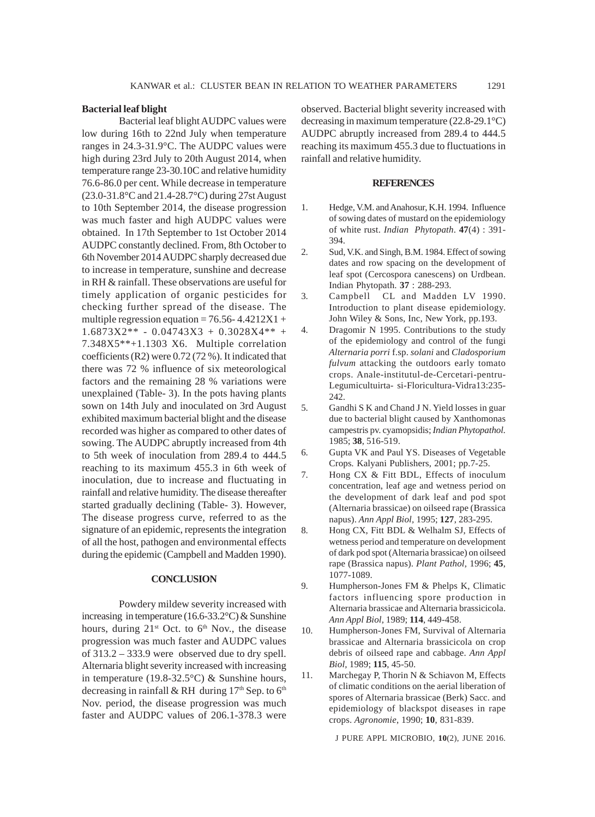## **Bacterial leaf blight**

Bacterial leaf blight AUDPC values were low during 16th to 22nd July when temperature ranges in 24.3-31.9°C. The AUDPC values were high during 23rd July to 20th August 2014, when temperature range 23-30.10C and relative humidity 76.6-86.0 per cent. While decrease in temperature (23.0-31.8°C and 21.4-28.7°C) during 27st August to 10th September 2014, the disease progression was much faster and high AUDPC values were obtained. In 17th September to 1st October 2014 AUDPC constantly declined. From, 8th October to 6th November 2014 AUDPC sharply decreased due to increase in temperature, sunshine and decrease in RH & rainfall. These observations are useful for timely application of organic pesticides for checking further spread of the disease. The multiple regression equation =  $76.56 - 4.4212X1 +$  $1.6873X2** - 0.04743X3 + 0.3028X4** +$ 7.348X5\*\*+1.1303 X6. Multiple correlation coefficients (R2) were 0.72 (72 %). It indicated that there was 72 % influence of six meteorological factors and the remaining 28 % variations were unexplained (Table- 3). In the pots having plants sown on 14th July and inoculated on 3rd August exhibited maximum bacterial blight and the disease recorded was higher as compared to other dates of sowing. The AUDPC abruptly increased from 4th to 5th week of inoculation from 289.4 to 444.5 reaching to its maximum 455.3 in 6th week of inoculation, due to increase and fluctuating in rainfall and relative humidity. The disease thereafter started gradually declining (Table- 3). However, The disease progress curve, referred to as the signature of an epidemic, represents the integration of all the host, pathogen and environmental effects during the epidemic (Campbell and Madden 1990).

## **CONCLUSION**

Powdery mildew severity increased with increasing in temperature (16.6-33.2°C) & Sunshine hours, during  $21^{st}$  Oct. to  $6^{th}$  Nov., the disease progression was much faster and AUDPC values of 313.2 – 333.9 were observed due to dry spell. Alternaria blight severity increased with increasing in temperature (19.8-32.5°C) & Sunshine hours, decreasing in rainfall & RH during  $17<sup>th</sup>$  Sep. to  $6<sup>th</sup>$ Nov. period, the disease progression was much faster and AUDPC values of 206.1-378.3 were

observed. Bacterial blight severity increased with decreasing in maximum temperature (22.8-29.1°C) AUDPC abruptly increased from 289.4 to 444.5 reaching its maximum 455.3 due to fluctuations in rainfall and relative humidity.

#### **REFERENCES**

- 1. Hedge, V.M. and Anahosur, K.H. 1994. Influence of sowing dates of mustard on the epidemiology of white rust. *Indian Phytopath*. **47**(4) : 391- 394.
- 2. Sud, V.K. and Singh, B.M. 1984. Effect of sowing dates and row spacing on the development of leaf spot (Cercospora canescens) on Urdbean. Indian Phytopath. **37** : 288-293.
- 3. Campbell CL and Madden LV 1990. Introduction to plant disease epidemiology. John Wiley & Sons, Inc, New York, pp.193.
- 4. Dragomir N 1995. Contributions to the study of the epidemiology and control of the fungi *Alternaria porri* f.sp. *solani* and *Cladosporium fulvum* attacking the outdoors early tomato crops. Anale-institutul-de-Cercetari-pentru-Legumicultuirta- si-Floricultura-Vidra13:235- 242.
- 5. Gandhi S K and Chand J N. Yield losses in guar due to bacterial blight caused by Xanthomonas campestris pv. cyamopsidis; *Indian Phytopathol.* 1985; **38**, 516-519.
- 6. Gupta VK and Paul YS. Diseases of Vegetable Crops*.* Kalyani Publishers, 2001; pp.7-25.
- 7. Hong CX & Fitt BDL, Effects of inoculum concentration, leaf age and wetness period on the development of dark leaf and pod spot (Alternaria brassicae) on oilseed rape (Brassica napus). *Ann Appl Biol,* 1995; **127**, 283-295.
- 8. Hong CX, Fitt BDL & Welhalm SJ, Effects of wetness period and temperature on development of dark pod spot (Alternaria brassicae) on oilseed rape (Brassica napus). *Plant Pathol,* 1996; **45**, 1077-1089.
- 9. Humpherson-Jones FM & Phelps K, Climatic factors influencing spore production in Alternaria brassicae and Alternaria brassicicola. *Ann Appl Biol,* 1989; **114**, 449-458.
- 10. Humpherson-Jones FM, Survival of Alternaria brassicae and Alternaria brassicicola on crop debris of oilseed rape and cabbage. *Ann Appl Biol,* 1989; **115**, 45-50.
- 11. Marchegay P, Thorin N & Schiavon M, Effects of climatic conditions on the aerial liberation of spores of Alternaria brassicae (Berk) Sacc. and epidemiology of blackspot diseases in rape crops. *Agronomie*, 1990; **10**, 831-839.

J PURE APPL MICROBIO*,* **10**(2), JUNE 2016.